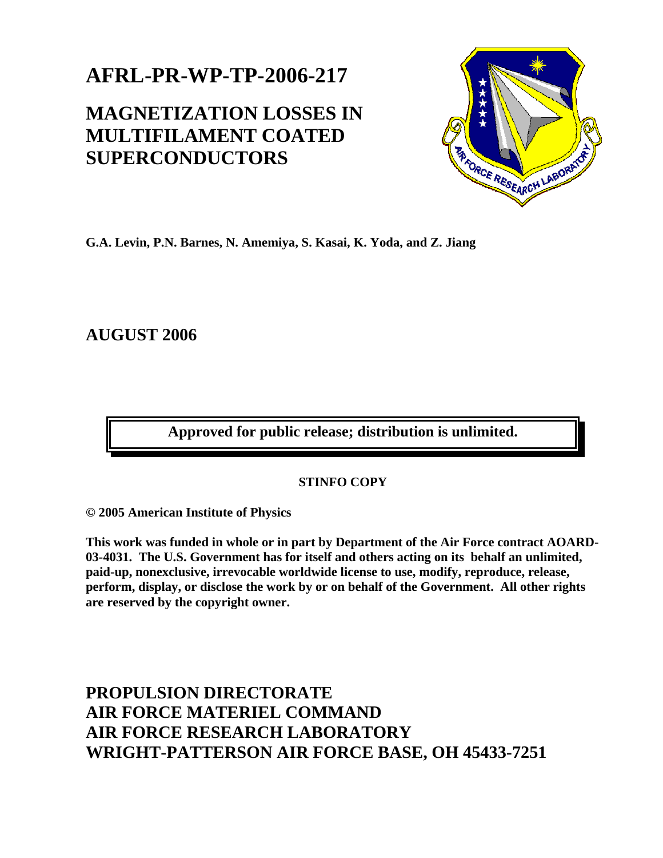## **AFRL-PR-WP-TP-2006-217**

## **MAGNETIZATION LOSSES IN MULTIFILAMENT COATED SUPERCONDUCTORS**



**G.A. Levin, P.N. Barnes, N. Amemiya, S. Kasai, K. Yoda, and Z. Jiang** 

**AUGUST 2006** 

**Approved for public release; distribution is unlimited.** 

## **STINFO COPY**

**© 2005 American Institute of Physics** 

**This work was funded in whole or in part by Department of the Air Force contract AOARD-03-4031. The U.S. Government has for itself and others acting on its behalf an unlimited, paid-up, nonexclusive, irrevocable worldwide license to use, modify, reproduce, release, perform, display, or disclose the work by or on behalf of the Government. All other rights are reserved by the copyright owner.** 

**PROPULSION DIRECTORATE AIR FORCE MATERIEL COMMAND AIR FORCE RESEARCH LABORATORY WRIGHT-PATTERSON AIR FORCE BASE, OH 45433-7251**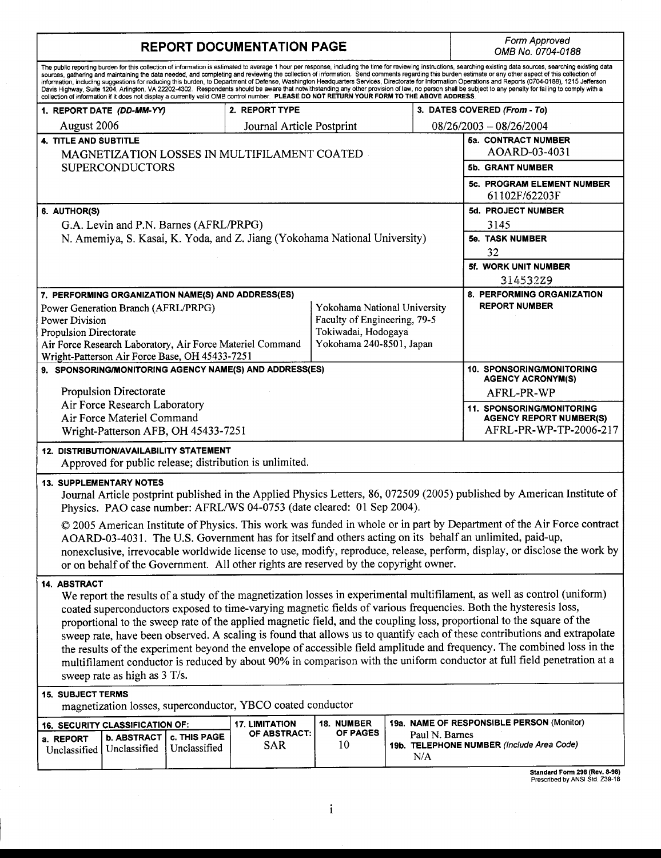| <b>REPORT DOCUMENTATION PAGE</b>                                                                                                                                                                                                                                                                                                                                                                                                                                                                                                                                                                                                                                                                                                                                                                                                                                                                                                                                                                    |                                             |                              |                            |    |  |                              | Form Approved<br>OMB No. 0704-0188                                                           |
|-----------------------------------------------------------------------------------------------------------------------------------------------------------------------------------------------------------------------------------------------------------------------------------------------------------------------------------------------------------------------------------------------------------------------------------------------------------------------------------------------------------------------------------------------------------------------------------------------------------------------------------------------------------------------------------------------------------------------------------------------------------------------------------------------------------------------------------------------------------------------------------------------------------------------------------------------------------------------------------------------------|---------------------------------------------|------------------------------|----------------------------|----|--|------------------------------|----------------------------------------------------------------------------------------------|
| The public reporting burden for this collection of information is estimated to average 1 hour per response, including the time for reviewing instructions, searching existing data sources, searching existing data<br>sources, gathering and maintaining the data needed, and completing and reviewing the collection of information. Send comments regarding this burden estimate or any other aspect of this collection of<br>information, including suggestions for reducing this burden, to Department of Defense, Washington Headquarters Services, Directorate for Information Operations and Reports (0704-0188), 1215 Jefferson<br>Davis Highway, Suite 1204, Arlington, VA 22202-4302. Respondents should be aware that notwithstanding any other provision of law, no person shall be subject to any penalty for failing to comply with a<br>collection of information if it does not display a currently valid OMB control number. PLEASE DO NOT RETURN YOUR FORM TO THE ABOVE ADDRESS. |                                             |                              |                            |    |  |                              |                                                                                              |
|                                                                                                                                                                                                                                                                                                                                                                                                                                                                                                                                                                                                                                                                                                                                                                                                                                                                                                                                                                                                     | 2. REPORT TYPE<br>1. REPORT DATE (DD-MM-YY) |                              |                            |    |  | 3. DATES COVERED (From - To) |                                                                                              |
| August 2006                                                                                                                                                                                                                                                                                                                                                                                                                                                                                                                                                                                                                                                                                                                                                                                                                                                                                                                                                                                         |                                             |                              | Journal Article Postprint  |    |  |                              | $08/26/2003 - 08/26/2004$                                                                    |
| <b>4. TITLE AND SUBTITLE</b>                                                                                                                                                                                                                                                                                                                                                                                                                                                                                                                                                                                                                                                                                                                                                                                                                                                                                                                                                                        |                                             |                              |                            |    |  |                              | 5a. CONTRACT NUMBER                                                                          |
| MAGNETIZATION LOSSES IN MULTIFILAMENT COATED<br><b>SUPERCONDUCTORS</b>                                                                                                                                                                                                                                                                                                                                                                                                                                                                                                                                                                                                                                                                                                                                                                                                                                                                                                                              |                                             |                              |                            |    |  |                              | AOARD-03-4031                                                                                |
|                                                                                                                                                                                                                                                                                                                                                                                                                                                                                                                                                                                                                                                                                                                                                                                                                                                                                                                                                                                                     |                                             |                              |                            |    |  |                              | 5b. GRANT NUMBER                                                                             |
|                                                                                                                                                                                                                                                                                                                                                                                                                                                                                                                                                                                                                                                                                                                                                                                                                                                                                                                                                                                                     |                                             |                              |                            |    |  |                              | 5c. PROGRAM ELEMENT NUMBER<br>61102F/62203F                                                  |
| 6. AUTHOR(S)                                                                                                                                                                                                                                                                                                                                                                                                                                                                                                                                                                                                                                                                                                                                                                                                                                                                                                                                                                                        |                                             |                              |                            |    |  |                              | 5d. PROJECT NUMBER                                                                           |
| G.A. Levin and P.N. Barnes (AFRL/PRPG)                                                                                                                                                                                                                                                                                                                                                                                                                                                                                                                                                                                                                                                                                                                                                                                                                                                                                                                                                              |                                             |                              |                            |    |  |                              | 3145                                                                                         |
| N. Amemiya, S. Kasai, K. Yoda, and Z. Jiang (Yokohama National University)                                                                                                                                                                                                                                                                                                                                                                                                                                                                                                                                                                                                                                                                                                                                                                                                                                                                                                                          |                                             |                              |                            |    |  |                              | <b>5e. TASK NUMBER</b>                                                                       |
|                                                                                                                                                                                                                                                                                                                                                                                                                                                                                                                                                                                                                                                                                                                                                                                                                                                                                                                                                                                                     |                                             |                              |                            |    |  |                              | 32                                                                                           |
|                                                                                                                                                                                                                                                                                                                                                                                                                                                                                                                                                                                                                                                                                                                                                                                                                                                                                                                                                                                                     |                                             |                              |                            |    |  |                              | 5f. WORK UNIT NUMBER                                                                         |
|                                                                                                                                                                                                                                                                                                                                                                                                                                                                                                                                                                                                                                                                                                                                                                                                                                                                                                                                                                                                     |                                             |                              |                            |    |  |                              | 314532Z9                                                                                     |
| 7. PERFORMING ORGANIZATION NAME(S) AND ADDRESS(ES)                                                                                                                                                                                                                                                                                                                                                                                                                                                                                                                                                                                                                                                                                                                                                                                                                                                                                                                                                  |                                             |                              |                            |    |  |                              | 8. PERFORMING ORGANIZATION                                                                   |
| Yokohama National University<br>Power Generation Branch (AFRL/PRPG)                                                                                                                                                                                                                                                                                                                                                                                                                                                                                                                                                                                                                                                                                                                                                                                                                                                                                                                                 |                                             |                              |                            |    |  |                              | <b>REPORT NUMBER</b>                                                                         |
| Faculty of Engineering, 79-5<br><b>Power Division</b>                                                                                                                                                                                                                                                                                                                                                                                                                                                                                                                                                                                                                                                                                                                                                                                                                                                                                                                                               |                                             |                              |                            |    |  |                              |                                                                                              |
| Tokiwadai, Hodogaya<br><b>Propulsion Directorate</b>                                                                                                                                                                                                                                                                                                                                                                                                                                                                                                                                                                                                                                                                                                                                                                                                                                                                                                                                                |                                             |                              |                            |    |  |                              |                                                                                              |
| Yokohama 240-8501, Japan<br>Air Force Research Laboratory, Air Force Materiel Command                                                                                                                                                                                                                                                                                                                                                                                                                                                                                                                                                                                                                                                                                                                                                                                                                                                                                                               |                                             |                              |                            |    |  |                              |                                                                                              |
| Wright-Patterson Air Force Base, OH 45433-7251<br>9. SPONSORING/MONITORING AGENCY NAME(S) AND ADDRESS(ES)                                                                                                                                                                                                                                                                                                                                                                                                                                                                                                                                                                                                                                                                                                                                                                                                                                                                                           |                                             |                              |                            |    |  |                              | 10. SPONSORING/MONITORING<br><b>AGENCY ACRONYM(S)</b>                                        |
| <b>Propulsion Directorate</b>                                                                                                                                                                                                                                                                                                                                                                                                                                                                                                                                                                                                                                                                                                                                                                                                                                                                                                                                                                       |                                             |                              |                            |    |  |                              | AFRL-PR-WP                                                                                   |
| Air Force Research Laboratory<br>Air Force Materiel Command<br>Wright-Patterson AFB, OH 45433-7251                                                                                                                                                                                                                                                                                                                                                                                                                                                                                                                                                                                                                                                                                                                                                                                                                                                                                                  |                                             |                              |                            |    |  |                              | <b>11. SPONSORING/MONITORING</b><br><b>AGENCY REPORT NUMBER(S)</b><br>AFRL-PR-WP-TP-2006-217 |
| <b>12. DISTRIBUTION/AVAILABILITY STATEMENT</b><br>Approved for public release; distribution is unlimited.                                                                                                                                                                                                                                                                                                                                                                                                                                                                                                                                                                                                                                                                                                                                                                                                                                                                                           |                                             |                              |                            |    |  |                              |                                                                                              |
| <b>13. SUPPLEMENTARY NOTES</b><br>Journal Article postprint published in the Applied Physics Letters, 86, 072509 (2005) published by American Institute of<br>Physics. PAO case number: AFRL/WS 04-0753 (date cleared: 01 Sep 2004).                                                                                                                                                                                                                                                                                                                                                                                                                                                                                                                                                                                                                                                                                                                                                                |                                             |                              |                            |    |  |                              |                                                                                              |
| © 2005 American Institute of Physics. This work was funded in whole or in part by Department of the Air Force contract<br>AOARD-03-4031. The U.S. Government has for itself and others acting on its behalf an unlimited, paid-up,<br>nonexclusive, irrevocable worldwide license to use, modify, reproduce, release, perform, display, or disclose the work by<br>or on behalf of the Government. All other rights are reserved by the copyright owner.                                                                                                                                                                                                                                                                                                                                                                                                                                                                                                                                            |                                             |                              |                            |    |  |                              |                                                                                              |
| 14. ABSTRACT<br>We report the results of a study of the magnetization losses in experimental multifilament, as well as control (uniform)<br>coated superconductors exposed to time-varying magnetic fields of various frequencies. Both the hysteresis loss,<br>proportional to the sweep rate of the applied magnetic field, and the coupling loss, proportional to the square of the<br>sweep rate, have been observed. A scaling is found that allows us to quantify each of these contributions and extrapolate<br>the results of the experiment beyond the envelope of accessible field amplitude and frequency. The combined loss in the<br>multifilament conductor is reduced by about 90% in comparison with the uniform conductor at full field penetration at a<br>sweep rate as high as 3 T/s.                                                                                                                                                                                           |                                             |                              |                            |    |  |                              |                                                                                              |
| <b>15. SUBJECT TERMS</b><br>magnetization losses, superconductor, YBCO coated conductor                                                                                                                                                                                                                                                                                                                                                                                                                                                                                                                                                                                                                                                                                                                                                                                                                                                                                                             |                                             |                              |                            |    |  |                              |                                                                                              |
| 19a. NAME OF RESPONSIBLE PERSON (Monitor)<br><b>17. LIMITATION</b><br>18. NUMBER<br>16. SECURITY CLASSIFICATION OF:<br><b>OF PAGES</b>                                                                                                                                                                                                                                                                                                                                                                                                                                                                                                                                                                                                                                                                                                                                                                                                                                                              |                                             |                              |                            |    |  |                              |                                                                                              |
| a. REPORT<br>Unclassified                                                                                                                                                                                                                                                                                                                                                                                                                                                                                                                                                                                                                                                                                                                                                                                                                                                                                                                                                                           | <b>b. ABSTRACT</b><br>Unclassified          | c. THIS PAGE<br>Unclassified | OF ABSTRACT:<br><b>SAR</b> | 10 |  | Paul N. Barnes<br>N/A        | 19b. TELEPHONE NUMBER (Include Area Code)                                                    |

**Standard Form 298 (Rev. 8-98)<br>Prescribed by ANSI Std. Z39-18**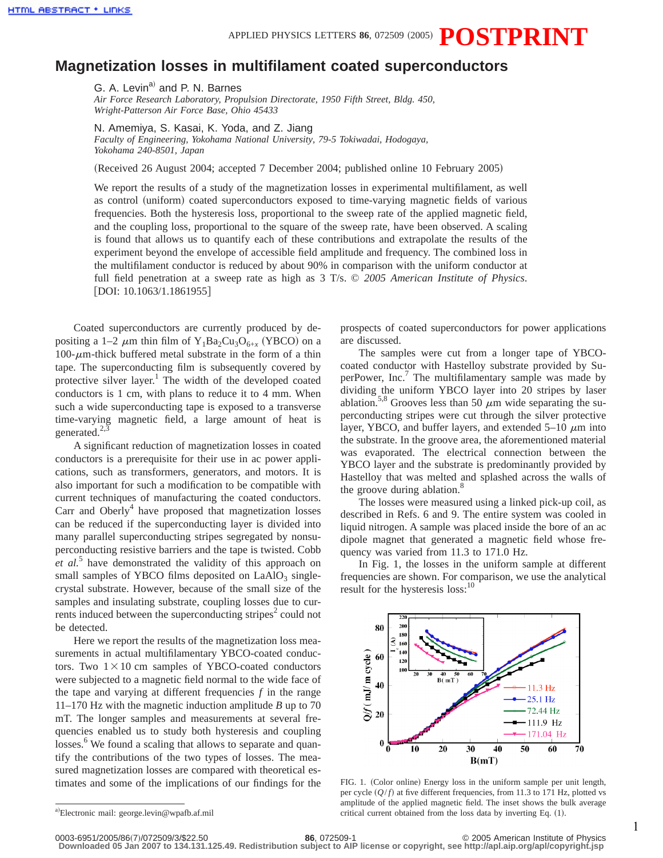APPLIED PHYSICS LETTERS 86, 072509 (2005)  $\bf{POSTPRRINT}$ 

## **Magnetization losses in multifilament coated superconductors**

G. A. Levin<sup>a)</sup> and P. N. Barnes

*Air Force Research Laboratory, Propulsion Directorate, 1950 Fifth Street, Bldg. 450, Wright-Patterson Air Force Base, Ohio 45433*

N. Amemiya, S. Kasai, K. Yoda, and Z. Jiang

*Faculty of Engineering, Yokohama National University, 79-5 Tokiwadai, Hodogaya, Yokohama 240-8501, Japan*

(Received 26 August 2004; accepted 7 December 2004; published online 10 February 2005)

We report the results of a study of the magnetization losses in experimental multifilament, as well as control (uniform) coated superconductors exposed to time-varying magnetic fields of various frequencies. Both the hysteresis loss, proportional to the sweep rate of the applied magnetic field, and the coupling loss, proportional to the square of the sweep rate, have been observed. A scaling is found that allows us to quantify each of these contributions and extrapolate the results of the experiment beyond the envelope of accessible field amplitude and frequency. The combined loss in the multifilament conductor is reduced by about 90% in comparison with the uniform conductor at full field penetration at a sweep rate as high as 3 T/s. © *2005 American Institute of Physics*. [DOI: 10.1063/1.1861955]

Coated superconductors are currently produced by depositing a 1–2  $\mu$ m thin film of Y<sub>1</sub>Ba<sub>2</sub>Cu<sub>3</sub>O<sub>6+*x*</sub> (YBCO) on a  $100$ - $\mu$ m-thick buffered metal substrate in the form of a thin tape. The superconducting film is subsequently covered by protective silver layer.<sup>1</sup> The width of the developed coated conductors is 1 cm, with plans to reduce it to 4 mm. When such a wide superconducting tape is exposed to a transverse time-varying magnetic field, a large amount of heat is generated. $^{2,3}$ 

A significant reduction of magnetization losses in coated conductors is a prerequisite for their use in ac power applications, such as transformers, generators, and motors. It is also important for such a modification to be compatible with current techniques of manufacturing the coated conductors. Carr and Oberly<sup>4</sup> have proposed that magnetization losses can be reduced if the superconducting layer is divided into many parallel superconducting stripes segregated by nonsuperconducting resistive barriers and the tape is twisted. Cobb *et al.*<sup>5</sup> have demonstrated the validity of this approach on small samples of YBCO films deposited on  $LaAlO<sub>3</sub>$  singlecrystal substrate. However, because of the small size of the samples and insulating substrate, coupling losses due to currents induced between the superconducting stripes<sup>2</sup> could not be detected.

Here we report the results of the magnetization loss measurements in actual multifilamentary YBCO-coated conductors. Two  $1 \times 10$  cm samples of YBCO-coated conductors were subjected to a magnetic field normal to the wide face of the tape and varying at different frequencies *f* in the range 11–170 Hz with the magnetic induction amplitude *B* up to 70 mT. The longer samples and measurements at several frequencies enabled us to study both hysteresis and coupling losses.<sup>6</sup> We found a scaling that allows to separate and quantify the contributions of the two types of losses. The measured magnetization losses are compared with theoretical estimates and some of the implications of our findings for the prospects of coated superconductors for power applications are discussed.

The samples were cut from a longer tape of YBCOcoated conductor with Hastelloy substrate provided by SuperPower,  $Inc<sup>7</sup>$  The multifilamentary sample was made by dividing the uniform YBCO layer into 20 stripes by laser ablation.<sup>5,8</sup> Grooves less than 50  $\mu$ m wide separating the superconducting stripes were cut through the silver protective layer, YBCO, and buffer layers, and extended  $5-10 \mu m$  into the substrate. In the groove area, the aforementioned material was evaporated. The electrical connection between the YBCO layer and the substrate is predominantly provided by Hastelloy that was melted and splashed across the walls of the groove during ablation.<sup>8</sup>

The losses were measured using a linked pick-up coil, as described in Refs. 6 and 9. The entire system was cooled in liquid nitrogen. A sample was placed inside the bore of an ac dipole magnet that generated a magnetic field whose frequency was varied from 11.3 to 171.0 Hz.

In Fig. 1, the losses in the uniform sample at different frequencies are shown. For comparison, we use the analytical result for the hysteresis loss:<sup>10</sup>



FIG. 1. (Color online) Energy loss in the uniform sample per unit length, per cycle  $(Q/f)$  at five different frequencies, from 11.3 to 171 Hz, plotted vs amplitude of the applied magnetic field. The inset shows the bulk average critical current obtained from the loss data by inverting Eq.  $(1)$ .

a)Electronic mail: george.levin@wpafb.af.mil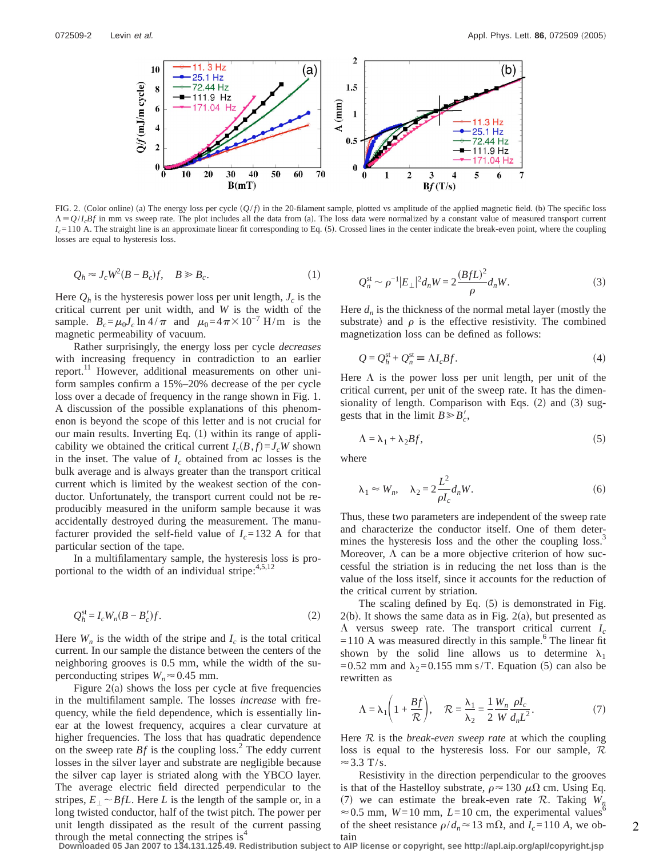

FIG. 2. (Color online) (a) The energy loss per cycle  $(Q/f)$  in the 20-filament sample, plotted vs amplitude of the applied magnetic field. (b) The specific loss  $\Lambda = Q/I_cBf$  in mm vs sweep rate. The plot includes all the data from (a). The loss data were normalized by a constant value of measured transport current  $I_c$ =110 A. The straight line is an approximate linear fit corresponding to Eq. (5). Crossed lines in the center indicate the break-even point, where the coupling losses are equal to hysteresis loss.

$$
Q_h \approx J_c W^2 (B - B_c) f, \quad B \ge B_c. \tag{1}
$$

Here  $Q_h$  is the hysteresis power loss per unit length,  $J_c$  is the critical current per unit width, and *W* is the width of the sample.  $B_c = \mu_0 J_c \ln 4/\pi$  and  $\mu_0 = 4\pi \times 10^{-7}$  H/m is the magnetic permeability of vacuum.

Rather surprisingly, the energy loss per cycle *decreases* with increasing frequency in contradiction to an earlier report.<sup>11</sup> However, additional measurements on other uniform samples confirm a 15%–20% decrease of the per cycle loss over a decade of frequency in the range shown in Fig. 1. A discussion of the possible explanations of this phenomenon is beyond the scope of this letter and is not crucial for our main results. Inverting Eq.  $(1)$  within its range of applicability we obtained the critical current  $I_c(B, f) = J_cW$  shown in the inset. The value of  $I_c$  obtained from ac losses is the bulk average and is always greater than the transport critical current which is limited by the weakest section of the conductor. Unfortunately, the transport current could not be reproducibly measured in the uniform sample because it was accidentally destroyed during the measurement. The manufacturer provided the self-field value of  $I_c = 132$  A for that particular section of the tape.

In a multifilamentary sample, the hysteresis loss is proportional to the width of an individual stripe: $4,5,12$ 

$$
Q_h^{\text{st}} = I_c W_n (B - B_c') f. \tag{2}
$$

Here  $W_n$  is the width of the stripe and  $I_c$  is the total critical current. In our sample the distance between the centers of the neighboring grooves is 0.5 mm, while the width of the superconducting stripes  $W_n \approx 0.45$  mm.

Figure  $2(a)$  shows the loss per cycle at five frequencies in the multifilament sample. The losses *increase* with frequency, while the field dependence, which is essentially linear at the lowest frequency, acquires a clear curvature at higher frequencies. The loss that has quadratic dependence on the sweep rate  $Bf$  is the coupling loss.<sup>2</sup> The eddy current losses in the silver layer and substrate are negligible because the silver cap layer is striated along with the YBCO layer. The average electric field directed perpendicular to the stripes,  $E_{\perp} \sim BfL$ . Here *L* is the length of the sample or, in a long twisted conductor, half of the twist pitch. The power per unit length dissipated as the result of the current passing through the metal connecting the stripes is $4$ 

$$
Q_n^{\text{st}} \sim \rho^{-1} |E_{\perp}|^2 d_n W = 2 \frac{(BfL)^2}{\rho} d_n W. \tag{3}
$$

Here  $d_n$  is the thickness of the normal metal layer (mostly the substrate) and  $\rho$  is the effective resistivity. The combined magnetization loss can be defined as follows:

$$
Q = Q_h^{\text{st}} + Q_n^{\text{st}} \equiv \Lambda I_c B f. \tag{4}
$$

Here  $\Lambda$  is the power loss per unit length, per unit of the critical current, per unit of the sweep rate. It has the dimensionality of length. Comparison with Eqs.  $(2)$  and  $(3)$  suggests that in the limit  $B \ge B'_c$ ,

$$
\Lambda = \lambda_1 + \lambda_2 B f,\tag{5}
$$

where

$$
\lambda_1 \approx W_n, \quad \lambda_2 = 2 \frac{L^2}{\rho I_c} d_n W. \tag{6}
$$

Thus, these two parameters are independent of the sweep rate and characterize the conductor itself. One of them determines the hysteresis loss and the other the coupling loss.<sup>3</sup> Moreover,  $\Lambda$  can be a more objective criterion of how successful the striation is in reducing the net loss than is the value of the loss itself, since it accounts for the reduction of the critical current by striation.

The scaling defined by Eq.  $(5)$  is demonstrated in Fig.  $2(b)$ . It shows the same data as in Fig.  $2(a)$ , but presented as  $\Lambda$  versus sweep rate. The transport critical current  $I_c$  $=110$  A was measured directly in this sample.<sup>6</sup> The linear fit shown by the solid line allows us to determine  $\lambda_1$ =0.52 mm and  $\lambda_2$ =0.155 mm s/T. Equation (5) can also be rewritten as

$$
\Lambda = \lambda_1 \left( 1 + \frac{Bf}{\mathcal{R}} \right), \quad \mathcal{R} = \frac{\lambda_1}{\lambda_2} = \frac{1}{2} \frac{W_n}{W} \frac{\rho I_c}{d_n L^2}.
$$
 (7)

Here R is the *break-even sweep rate* at which the coupling loss is equal to the hysteresis loss. For our sample,  $\mathcal R$  $\approx$  3.3 T/s.

Resistivity in the direction perpendicular to the grooves is that of the Hastelloy substrate,  $\rho \approx 130 \mu\Omega$  cm. Using Eq. (7) we can estimate the break-even rate  $\mathcal{R}$ . Taking  $W_n$  $\approx 0.5$  mm,  $W=10$  mm,  $L=10$  cm, the experimental values<sup>6</sup> of the sheet resistance  $\rho/d_n \approx 13 \text{ mA}$ , and  $I_c = 110 \text{ A}$ , we obtain

**Downloaded 05 Jan 2007 to 134.131.125.49. Redistribution subject to AIP license or copyright, see http://apl.aip.org/apl/copyright.jsp**